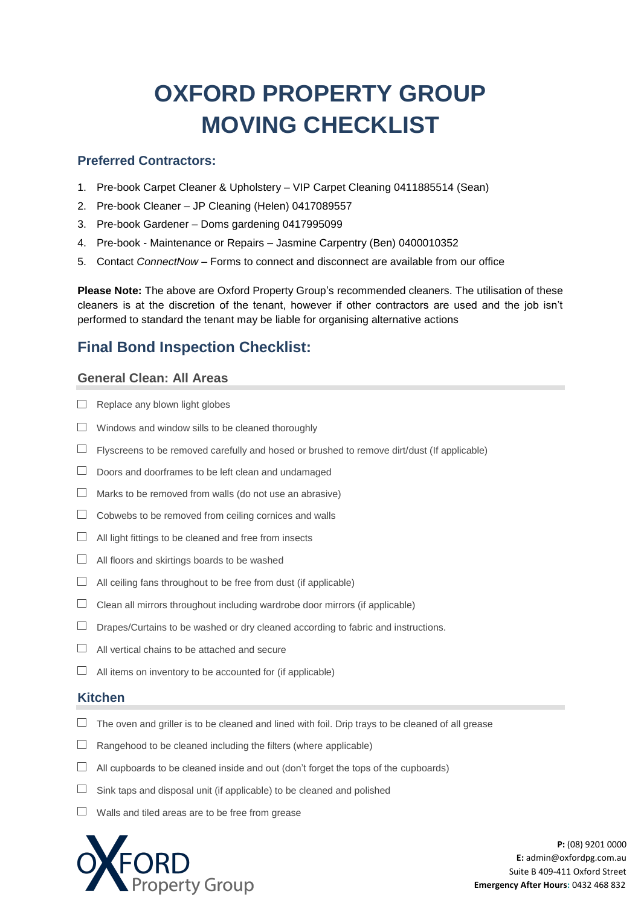# **OXFORD PROPERTY GROUP MOVING CHECKLIST**

## **Preferred Contractors:**

- 1. Pre-book Carpet Cleaner & Upholstery VIP Carpet Cleaning 0411885514 (Sean)
- 2. Pre-book Cleaner JP Cleaning (Helen) 0417089557
- 3. Pre-book Gardener Doms gardening 0417995099
- 4. Pre-book Maintenance or Repairs Jasmine Carpentry (Ben) 0400010352
- 5. Contact *ConnectNow* Forms to connect and disconnect are available from our office

**Please Note:** The above are Oxford Property Group's recommended cleaners. The utilisation of these cleaners is at the discretion of the tenant, however if other contractors are used and the job isn't performed to standard the tenant may be liable for organising alternative actions

# **Final Bond Inspection Checklist:**

## **General Clean: All Areas**

- $\Box$  Replace any blown light globes
- $\Box$  Windows and window sills to be cleaned thoroughly
- $\Box$  Flyscreens to be removed carefully and hosed or brushed to remove dirt/dust (If applicable)
- $\Box$  Doors and doorframes to be left clean and undamaged
- $\Box$  Marks to be removed from walls (do not use an abrasive)
- $\Box$  Cobwebs to be removed from ceiling cornices and walls
- $\Box$  All light fittings to be cleaned and free from insects
- $\Box$  All floors and skirtings boards to be washed
- $\Box$  All ceiling fans throughout to be free from dust (if applicable)
- $\Box$  Clean all mirrors throughout including wardrobe door mirrors (if applicable)
- $\Box$  Drapes/Curtains to be washed or dry cleaned according to fabric and instructions.
- $\Box$  All vertical chains to be attached and secure
- $\Box$  All items on inventory to be accounted for (if applicable)

#### **Kitchen**

- $\Box$  The oven and griller is to be cleaned and lined with foil. Drip trays to be cleaned of all grease
- $\Box$  Rangehood to be cleaned including the filters (where applicable)
- $\Box$  All cupboards to be cleaned inside and out (don't forget the tops of the cupboards)
- $\Box$  Sink taps and disposal unit (if applicable) to be cleaned and polished
- $\Box$  Walls and tiled areas are to be free from grease

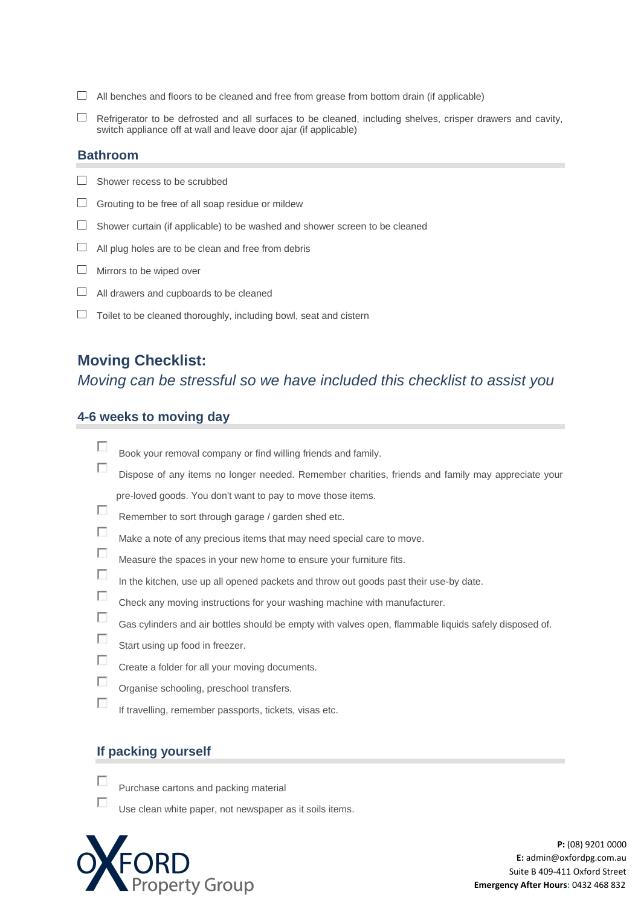- $\Box$  All benches and floors to be cleaned and free from grease from bottom drain (if applicable)
- $\Box$  Refrigerator to be defrosted and all surfaces to be cleaned, including shelves, crisper drawers and cavity, switch appliance off at wall and leave door ajar (if applicable)

## **Bathroom**

- $\Box$  Shower recess to be scrubbed
- $\Box$  Grouting to be free of all soap residue or mildew
- $\Box$  Shower curtain (if applicable) to be washed and shower screen to be cleaned
- $\Box$  All plug holes are to be clean and free from debris
- $\Box$  Mirrors to be wiped over
- $\Box$  All drawers and cupboards to be cleaned
- $\Box$  Toilet to be cleaned thoroughly, including bowl, seat and cistern

# **Moving Checklist:**

## *Moving can be stressful so we have included this checklist to assist you*

## **4-6 weeks to moving day**

|   | Book your removal company or find willing friends and family.                                         |
|---|-------------------------------------------------------------------------------------------------------|
| Е | Dispose of any items no longer needed. Remember charities, friends and family may appreciate your     |
|   | pre-loved goods. You don't want to pay to move those items.                                           |
| п | Remember to sort through garage / garden shed etc.                                                    |
| п | Make a note of any precious items that may need special care to move.                                 |
| П | Measure the spaces in your new home to ensure your furniture fits.                                    |
| Е | In the kitchen, use up all opened packets and throw out goods past their use-by date.                 |
| Е | Check any moving instructions for your washing machine with manufacturer.                             |
| Е | Gas cylinders and air bottles should be empty with valves open, flammable liquids safely disposed of. |
| L | Start using up food in freezer.                                                                       |
|   | Create a folder for all your moving documents.                                                        |
|   | Organise schooling, preschool transfers.                                                              |
|   | If travelling, remember passports, tickets, visas etc.                                                |
|   |                                                                                                       |

## **If packing yourself**

П г

Purchase cartons and packing material

Use clean white paper, not newspaper as it soils items.

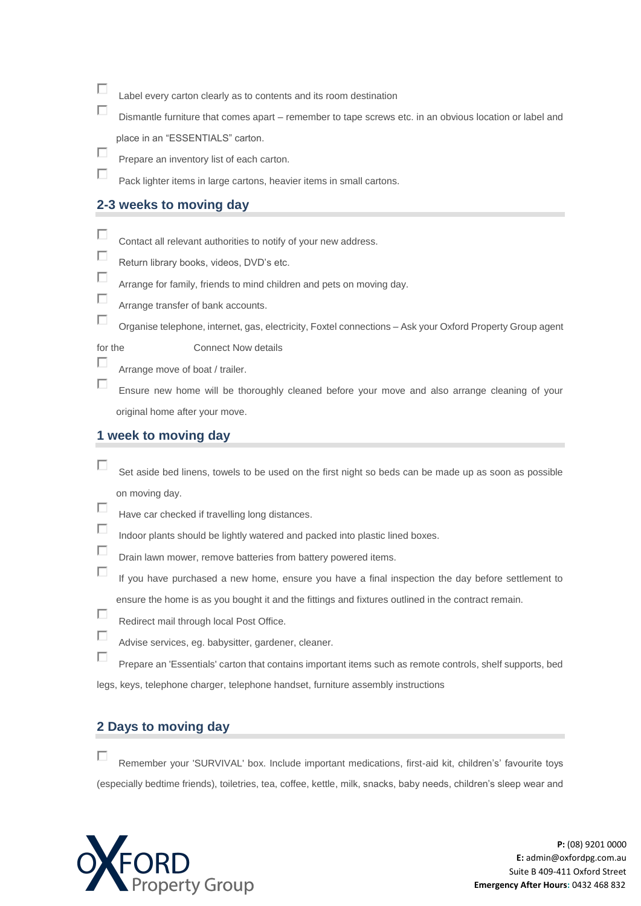- $\Box$ Label every carton clearly as to contents and its room destination
- П Dismantle furniture that comes apart – remember to tape screws etc. in an obvious location or label and place in an "ESSENTIALS" carton.
- П Prepare an inventory list of each carton.

Pack lighter items in large cartons, heavier items in small cartons.

#### **2-3 weeks to moving day**

- $\Box$ Contact all relevant authorities to notify of your new address.
- $\Box$ Return library books, videos, DVD's etc.
- П Arrange for family, friends to mind children and pets on moving day.
- П Arrange transfer of bank accounts.
	- Organise telephone, internet, gas, electricity, Foxtel connections Ask your Oxford Property Group agent

П

П

 $\Box$ 

for the Connect Now details

Arrange move of boat / trailer.

П Ensure new home will be thoroughly cleaned before your move and also arrange cleaning of your original home after your move.

## **1 week to moving day**

- П Set aside bed linens, towels to be used on the first night so beds can be made up as soon as possible on moving day.
- П Have car checked if travelling long distances.
- $\Box$ Indoor plants should be lightly watered and packed into plastic lined boxes.
- П Drain lawn mower, remove batteries from battery powered items.
- П If you have purchased a new home, ensure you have a final inspection the day before settlement to ensure the home is as you bought it and the fittings and fixtures outlined in the contract remain.
- П Redirect mail through local Post Office.
- П Advise services, eg. babysitter, gardener, cleaner.
- П Prepare an 'Essentials' carton that contains important items such as remote controls, shelf supports, bed legs, keys, telephone charger, telephone handset, furniture assembly instructions

## **2 Days to moving day**

П. Remember your 'SURVIVAL' box. Include important medications, first-aid kit, children's' favourite toys (especially bedtime friends), toiletries, tea, coffee, kettle, milk, snacks, baby needs, children's sleep wear and